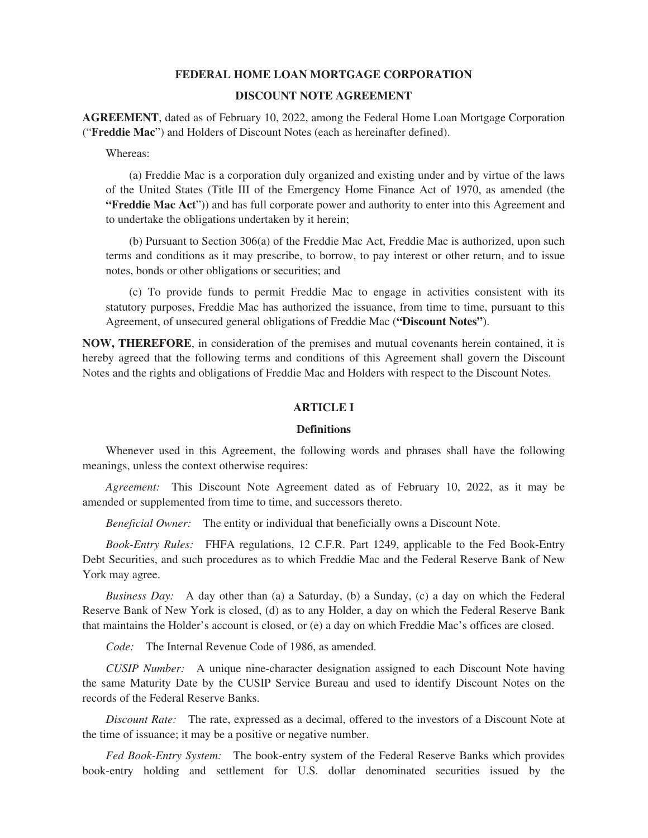## **FEDERAL HOME LOAN MORTGAGE CORPORATION**

# **DISCOUNT NOTE AGREEMENT**

**AGREEMENT**, dated as of February 10, 2022, among the Federal Home Loan Mortgage Corporation ("**Freddie Mac**") and Holders of Discount Notes (each as hereinafter defined).

Whereas:

(a) Freddie Mac is a corporation duly organized and existing under and by virtue of the laws of the United States (Title III of the Emergency Home Finance Act of 1970, as amended (the **"Freddie Mac Act**")) and has full corporate power and authority to enter into this Agreement and to undertake the obligations undertaken by it herein;

(b) Pursuant to Section 306(a) of the Freddie Mac Act, Freddie Mac is authorized, upon such terms and conditions as it may prescribe, to borrow, to pay interest or other return, and to issue notes, bonds or other obligations or securities; and

(c) To provide funds to permit Freddie Mac to engage in activities consistent with its statutory purposes, Freddie Mac has authorized the issuance, from time to time, pursuant to this Agreement, of unsecured general obligations of Freddie Mac (**"Discount Notes"**).

**NOW, THEREFORE**, in consideration of the premises and mutual covenants herein contained, it is hereby agreed that the following terms and conditions of this Agreement shall govern the Discount Notes and the rights and obligations of Freddie Mac and Holders with respect to the Discount Notes.

## **ARTICLE I**

#### **Definitions**

Whenever used in this Agreement, the following words and phrases shall have the following meanings, unless the context otherwise requires:

*Agreement:* This Discount Note Agreement dated as of February 10, 2022, as it may be amended or supplemented from time to time, and successors thereto.

*Beneficial Owner:* The entity or individual that beneficially owns a Discount Note.

*Book-Entry Rules:* FHFA regulations, 12 C.F.R. Part 1249, applicable to the Fed Book-Entry Debt Securities, and such procedures as to which Freddie Mac and the Federal Reserve Bank of New York may agree.

*Business Day:* A day other than (a) a Saturday, (b) a Sunday, (c) a day on which the Federal Reserve Bank of New York is closed, (d) as to any Holder, a day on which the Federal Reserve Bank that maintains the Holder's account is closed, or (e) a day on which Freddie Mac's offices are closed.

*Code:* The Internal Revenue Code of 1986, as amended.

*CUSIP Number:* A unique nine-character designation assigned to each Discount Note having the same Maturity Date by the CUSIP Service Bureau and used to identify Discount Notes on the records of the Federal Reserve Banks.

*Discount Rate:* The rate, expressed as a decimal, offered to the investors of a Discount Note at the time of issuance; it may be a positive or negative number.

*Fed Book-Entry System:* The book-entry system of the Federal Reserve Banks which provides book-entry holding and settlement for U.S. dollar denominated securities issued by the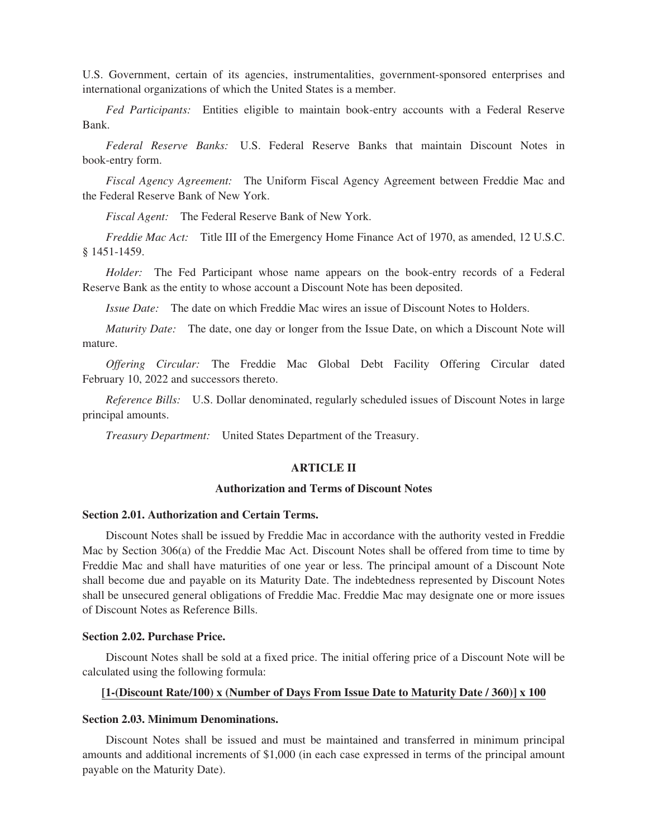U.S. Government, certain of its agencies, instrumentalities, government-sponsored enterprises and international organizations of which the United States is a member.

*Fed Participants:* Entities eligible to maintain book-entry accounts with a Federal Reserve Bank.

*Federal Reserve Banks:* U.S. Federal Reserve Banks that maintain Discount Notes in book-entry form.

*Fiscal Agency Agreement:* The Uniform Fiscal Agency Agreement between Freddie Mac and the Federal Reserve Bank of New York.

*Fiscal Agent:* The Federal Reserve Bank of New York.

*Freddie Mac Act:* Title III of the Emergency Home Finance Act of 1970, as amended, 12 U.S.C. § 1451-1459.

*Holder:* The Fed Participant whose name appears on the book-entry records of a Federal Reserve Bank as the entity to whose account a Discount Note has been deposited.

*Issue Date:* The date on which Freddie Mac wires an issue of Discount Notes to Holders.

*Maturity Date:* The date, one day or longer from the Issue Date, on which a Discount Note will mature.

*Offering Circular:* The Freddie Mac Global Debt Facility Offering Circular dated February 10, 2022 and successors thereto.

*Reference Bills:* U.S. Dollar denominated, regularly scheduled issues of Discount Notes in large principal amounts.

*Treasury Department:* United States Department of the Treasury.

# **ARTICLE II**

# **Authorization and Terms of Discount Notes**

# **Section 2.01. Authorization and Certain Terms.**

Discount Notes shall be issued by Freddie Mac in accordance with the authority vested in Freddie Mac by Section 306(a) of the Freddie Mac Act. Discount Notes shall be offered from time to time by Freddie Mac and shall have maturities of one year or less. The principal amount of a Discount Note shall become due and payable on its Maturity Date. The indebtedness represented by Discount Notes shall be unsecured general obligations of Freddie Mac. Freddie Mac may designate one or more issues of Discount Notes as Reference Bills.

#### **Section 2.02. Purchase Price.**

Discount Notes shall be sold at a fixed price. The initial offering price of a Discount Note will be calculated using the following formula:

# **[1-(Discount Rate/100) x (Number of Days From Issue Date to Maturity Date / 360)] x 100**

#### **Section 2.03. Minimum Denominations.**

Discount Notes shall be issued and must be maintained and transferred in minimum principal amounts and additional increments of \$1,000 (in each case expressed in terms of the principal amount payable on the Maturity Date).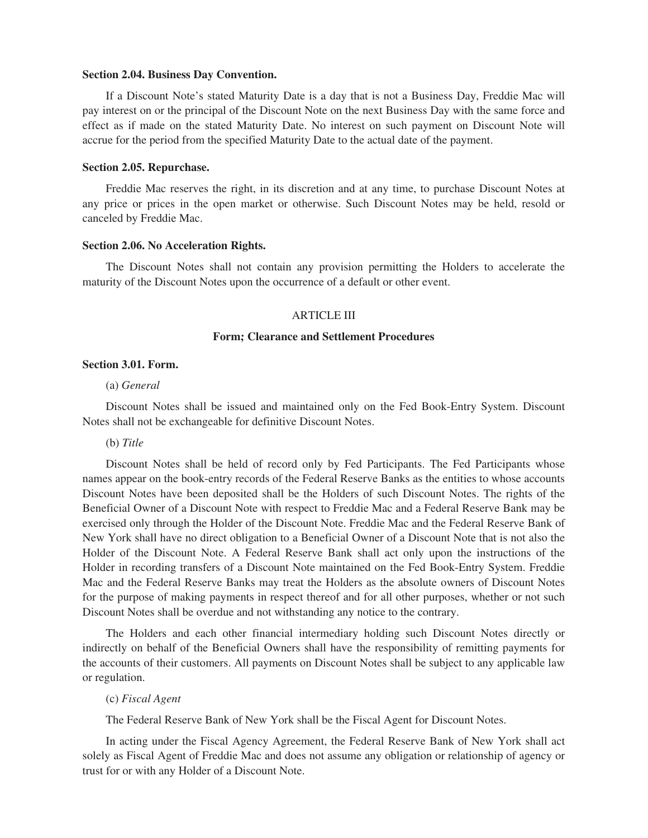#### **Section 2.04. Business Day Convention.**

If a Discount Note's stated Maturity Date is a day that is not a Business Day, Freddie Mac will pay interest on or the principal of the Discount Note on the next Business Day with the same force and effect as if made on the stated Maturity Date. No interest on such payment on Discount Note will accrue for the period from the specified Maturity Date to the actual date of the payment.

## **Section 2.05. Repurchase.**

Freddie Mac reserves the right, in its discretion and at any time, to purchase Discount Notes at any price or prices in the open market or otherwise. Such Discount Notes may be held, resold or canceled by Freddie Mac.

#### **Section 2.06. No Acceleration Rights.**

The Discount Notes shall not contain any provision permitting the Holders to accelerate the maturity of the Discount Notes upon the occurrence of a default or other event.

## ARTICLE III

# **Form; Clearance and Settlement Procedures**

#### **Section 3.01. Form.**

#### (a) *General*

Discount Notes shall be issued and maintained only on the Fed Book-Entry System. Discount Notes shall not be exchangeable for definitive Discount Notes.

#### (b) *Title*

Discount Notes shall be held of record only by Fed Participants. The Fed Participants whose names appear on the book-entry records of the Federal Reserve Banks as the entities to whose accounts Discount Notes have been deposited shall be the Holders of such Discount Notes. The rights of the Beneficial Owner of a Discount Note with respect to Freddie Mac and a Federal Reserve Bank may be exercised only through the Holder of the Discount Note. Freddie Mac and the Federal Reserve Bank of New York shall have no direct obligation to a Beneficial Owner of a Discount Note that is not also the Holder of the Discount Note. A Federal Reserve Bank shall act only upon the instructions of the Holder in recording transfers of a Discount Note maintained on the Fed Book-Entry System. Freddie Mac and the Federal Reserve Banks may treat the Holders as the absolute owners of Discount Notes for the purpose of making payments in respect thereof and for all other purposes, whether or not such Discount Notes shall be overdue and not withstanding any notice to the contrary.

The Holders and each other financial intermediary holding such Discount Notes directly or indirectly on behalf of the Beneficial Owners shall have the responsibility of remitting payments for the accounts of their customers. All payments on Discount Notes shall be subject to any applicable law or regulation.

## (c) *Fiscal Agent*

The Federal Reserve Bank of New York shall be the Fiscal Agent for Discount Notes.

In acting under the Fiscal Agency Agreement, the Federal Reserve Bank of New York shall act solely as Fiscal Agent of Freddie Mac and does not assume any obligation or relationship of agency or trust for or with any Holder of a Discount Note.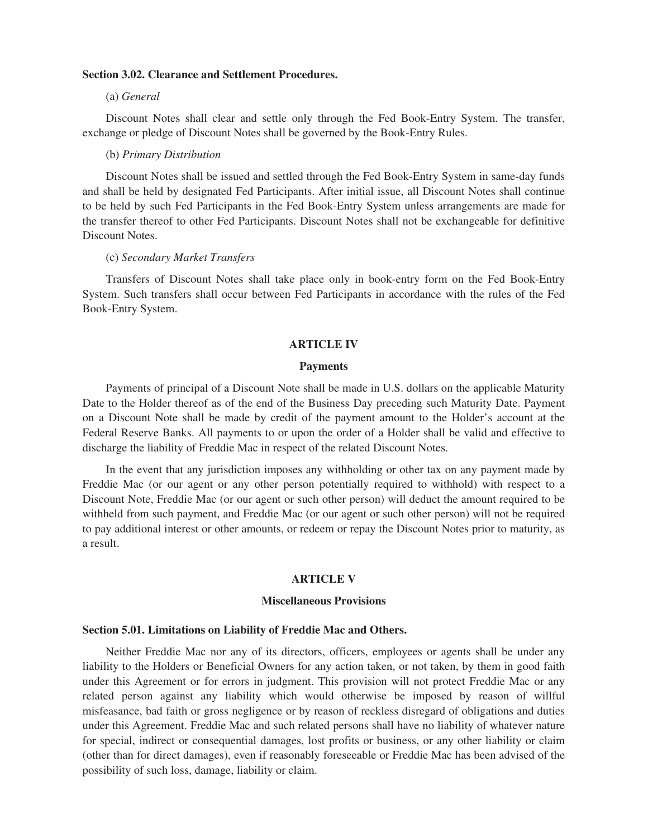#### **Section 3.02. Clearance and Settlement Procedures.**

#### (a) *General*

Discount Notes shall clear and settle only through the Fed Book-Entry System. The transfer, exchange or pledge of Discount Notes shall be governed by the Book-Entry Rules.

#### (b) *Primary Distribution*

Discount Notes shall be issued and settled through the Fed Book-Entry System in same-day funds and shall be held by designated Fed Participants. After initial issue, all Discount Notes shall continue to be held by such Fed Participants in the Fed Book-Entry System unless arrangements are made for the transfer thereof to other Fed Participants. Discount Notes shall not be exchangeable for definitive Discount Notes.

# (c) *Secondary Market Transfers*

Transfers of Discount Notes shall take place only in book-entry form on the Fed Book-Entry System. Such transfers shall occur between Fed Participants in accordance with the rules of the Fed Book-Entry System.

#### **ARTICLE IV**

## **Payments**

Payments of principal of a Discount Note shall be made in U.S. dollars on the applicable Maturity Date to the Holder thereof as of the end of the Business Day preceding such Maturity Date. Payment on a Discount Note shall be made by credit of the payment amount to the Holder's account at the Federal Reserve Banks. All payments to or upon the order of a Holder shall be valid and effective to discharge the liability of Freddie Mac in respect of the related Discount Notes.

In the event that any jurisdiction imposes any withholding or other tax on any payment made by Freddie Mac (or our agent or any other person potentially required to withhold) with respect to a Discount Note, Freddie Mac (or our agent or such other person) will deduct the amount required to be withheld from such payment, and Freddie Mac (or our agent or such other person) will not be required to pay additional interest or other amounts, or redeem or repay the Discount Notes prior to maturity, as a result.

## **ARTICLE V**

#### **Miscellaneous Provisions**

# **Section 5.01. Limitations on Liability of Freddie Mac and Others.**

Neither Freddie Mac nor any of its directors, officers, employees or agents shall be under any liability to the Holders or Beneficial Owners for any action taken, or not taken, by them in good faith under this Agreement or for errors in judgment. This provision will not protect Freddie Mac or any related person against any liability which would otherwise be imposed by reason of willful misfeasance, bad faith or gross negligence or by reason of reckless disregard of obligations and duties under this Agreement. Freddie Mac and such related persons shall have no liability of whatever nature for special, indirect or consequential damages, lost profits or business, or any other liability or claim (other than for direct damages), even if reasonably foreseeable or Freddie Mac has been advised of the possibility of such loss, damage, liability or claim.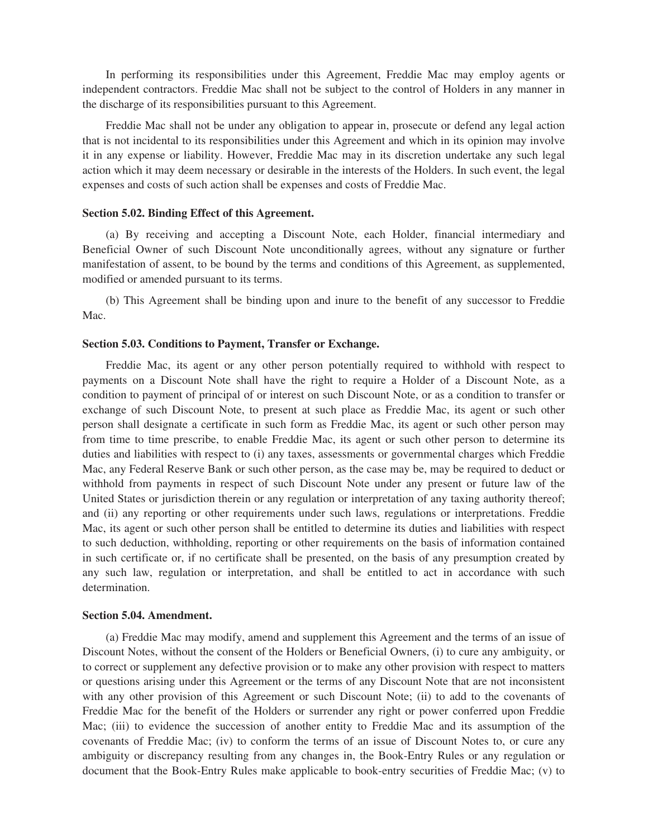In performing its responsibilities under this Agreement, Freddie Mac may employ agents or independent contractors. Freddie Mac shall not be subject to the control of Holders in any manner in the discharge of its responsibilities pursuant to this Agreement.

Freddie Mac shall not be under any obligation to appear in, prosecute or defend any legal action that is not incidental to its responsibilities under this Agreement and which in its opinion may involve it in any expense or liability. However, Freddie Mac may in its discretion undertake any such legal action which it may deem necessary or desirable in the interests of the Holders. In such event, the legal expenses and costs of such action shall be expenses and costs of Freddie Mac.

## **Section 5.02. Binding Effect of this Agreement.**

(a) By receiving and accepting a Discount Note, each Holder, financial intermediary and Beneficial Owner of such Discount Note unconditionally agrees, without any signature or further manifestation of assent, to be bound by the terms and conditions of this Agreement, as supplemented, modified or amended pursuant to its terms.

(b) This Agreement shall be binding upon and inure to the benefit of any successor to Freddie Mac.

## **Section 5.03. Conditions to Payment, Transfer or Exchange.**

Freddie Mac, its agent or any other person potentially required to withhold with respect to payments on a Discount Note shall have the right to require a Holder of a Discount Note, as a condition to payment of principal of or interest on such Discount Note, or as a condition to transfer or exchange of such Discount Note, to present at such place as Freddie Mac, its agent or such other person shall designate a certificate in such form as Freddie Mac, its agent or such other person may from time to time prescribe, to enable Freddie Mac, its agent or such other person to determine its duties and liabilities with respect to (i) any taxes, assessments or governmental charges which Freddie Mac, any Federal Reserve Bank or such other person, as the case may be, may be required to deduct or withhold from payments in respect of such Discount Note under any present or future law of the United States or jurisdiction therein or any regulation or interpretation of any taxing authority thereof; and (ii) any reporting or other requirements under such laws, regulations or interpretations. Freddie Mac, its agent or such other person shall be entitled to determine its duties and liabilities with respect to such deduction, withholding, reporting or other requirements on the basis of information contained in such certificate or, if no certificate shall be presented, on the basis of any presumption created by any such law, regulation or interpretation, and shall be entitled to act in accordance with such determination.

#### **Section 5.04. Amendment.**

(a) Freddie Mac may modify, amend and supplement this Agreement and the terms of an issue of Discount Notes, without the consent of the Holders or Beneficial Owners, (i) to cure any ambiguity, or to correct or supplement any defective provision or to make any other provision with respect to matters or questions arising under this Agreement or the terms of any Discount Note that are not inconsistent with any other provision of this Agreement or such Discount Note; (ii) to add to the covenants of Freddie Mac for the benefit of the Holders or surrender any right or power conferred upon Freddie Mac; (iii) to evidence the succession of another entity to Freddie Mac and its assumption of the covenants of Freddie Mac; (iv) to conform the terms of an issue of Discount Notes to, or cure any ambiguity or discrepancy resulting from any changes in, the Book-Entry Rules or any regulation or document that the Book-Entry Rules make applicable to book-entry securities of Freddie Mac; (v) to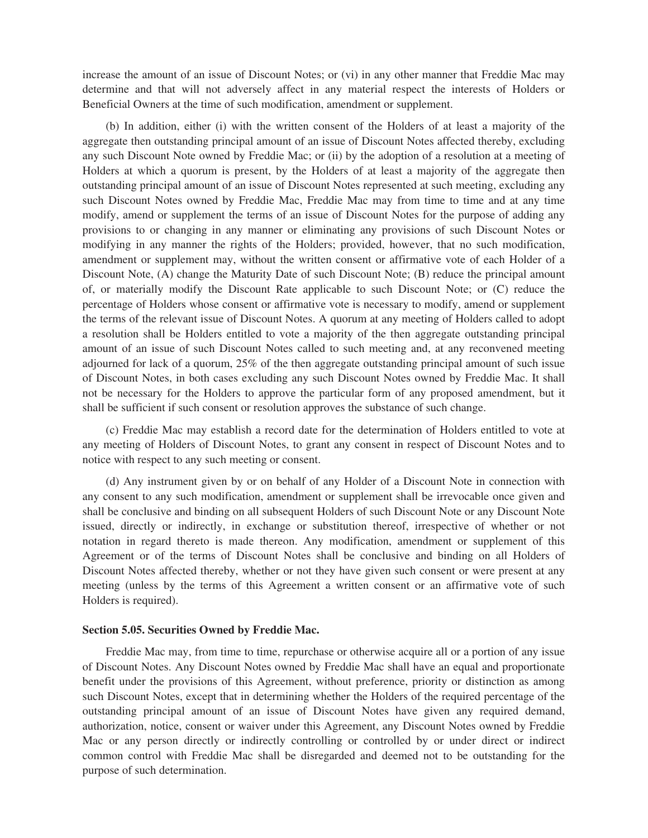increase the amount of an issue of Discount Notes; or (vi) in any other manner that Freddie Mac may determine and that will not adversely affect in any material respect the interests of Holders or Beneficial Owners at the time of such modification, amendment or supplement.

(b) In addition, either (i) with the written consent of the Holders of at least a majority of the aggregate then outstanding principal amount of an issue of Discount Notes affected thereby, excluding any such Discount Note owned by Freddie Mac; or (ii) by the adoption of a resolution at a meeting of Holders at which a quorum is present, by the Holders of at least a majority of the aggregate then outstanding principal amount of an issue of Discount Notes represented at such meeting, excluding any such Discount Notes owned by Freddie Mac, Freddie Mac may from time to time and at any time modify, amend or supplement the terms of an issue of Discount Notes for the purpose of adding any provisions to or changing in any manner or eliminating any provisions of such Discount Notes or modifying in any manner the rights of the Holders; provided, however, that no such modification, amendment or supplement may, without the written consent or affirmative vote of each Holder of a Discount Note, (A) change the Maturity Date of such Discount Note; (B) reduce the principal amount of, or materially modify the Discount Rate applicable to such Discount Note; or (C) reduce the percentage of Holders whose consent or affirmative vote is necessary to modify, amend or supplement the terms of the relevant issue of Discount Notes. A quorum at any meeting of Holders called to adopt a resolution shall be Holders entitled to vote a majority of the then aggregate outstanding principal amount of an issue of such Discount Notes called to such meeting and, at any reconvened meeting adjourned for lack of a quorum, 25% of the then aggregate outstanding principal amount of such issue of Discount Notes, in both cases excluding any such Discount Notes owned by Freddie Mac. It shall not be necessary for the Holders to approve the particular form of any proposed amendment, but it shall be sufficient if such consent or resolution approves the substance of such change.

(c) Freddie Mac may establish a record date for the determination of Holders entitled to vote at any meeting of Holders of Discount Notes, to grant any consent in respect of Discount Notes and to notice with respect to any such meeting or consent.

(d) Any instrument given by or on behalf of any Holder of a Discount Note in connection with any consent to any such modification, amendment or supplement shall be irrevocable once given and shall be conclusive and binding on all subsequent Holders of such Discount Note or any Discount Note issued, directly or indirectly, in exchange or substitution thereof, irrespective of whether or not notation in regard thereto is made thereon. Any modification, amendment or supplement of this Agreement or of the terms of Discount Notes shall be conclusive and binding on all Holders of Discount Notes affected thereby, whether or not they have given such consent or were present at any meeting (unless by the terms of this Agreement a written consent or an affirmative vote of such Holders is required).

## **Section 5.05. Securities Owned by Freddie Mac.**

Freddie Mac may, from time to time, repurchase or otherwise acquire all or a portion of any issue of Discount Notes. Any Discount Notes owned by Freddie Mac shall have an equal and proportionate benefit under the provisions of this Agreement, without preference, priority or distinction as among such Discount Notes, except that in determining whether the Holders of the required percentage of the outstanding principal amount of an issue of Discount Notes have given any required demand, authorization, notice, consent or waiver under this Agreement, any Discount Notes owned by Freddie Mac or any person directly or indirectly controlling or controlled by or under direct or indirect common control with Freddie Mac shall be disregarded and deemed not to be outstanding for the purpose of such determination.